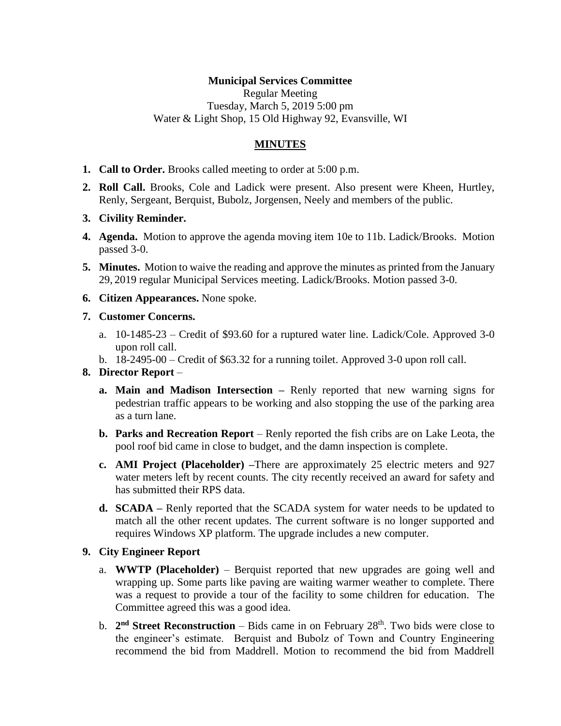# **Municipal Services Committee**

Regular Meeting Tuesday, March 5, 2019 5:00 pm Water & Light Shop, 15 Old Highway 92, Evansville, WI

# **MINUTES**

- **1. Call to Order.** Brooks called meeting to order at 5:00 p.m.
- **2. Roll Call.** Brooks, Cole and Ladick were present. Also present were Kheen, Hurtley, Renly, Sergeant, Berquist, Bubolz, Jorgensen, Neely and members of the public.
- **3. Civility Reminder.**
- **4. Agenda.** Motion to approve the agenda moving item 10e to 11b. Ladick/Brooks. Motion passed 3-0.
- **5. Minutes.** Motion to waive the reading and approve the minutes as printed from the January 29, 2019 regular Municipal Services meeting. Ladick/Brooks. Motion passed 3-0.
- **6. Citizen Appearances.** None spoke.
- **7. Customer Concerns.**
	- a. 10-1485-23 Credit of \$93.60 for a ruptured water line. Ladick/Cole. Approved 3-0 upon roll call.
	- b. 18-2495-00 Credit of \$63.32 for a running toilet. Approved 3-0 upon roll call.

#### **8. Director Report** –

- **a. Main and Madison Intersection –** Renly reported that new warning signs for pedestrian traffic appears to be working and also stopping the use of the parking area as a turn lane.
- **b. Parks and Recreation Report** Renly reported the fish cribs are on Lake Leota, the pool roof bid came in close to budget, and the damn inspection is complete.
- **c. AMI Project (Placeholder) –**There are approximately 25 electric meters and 927 water meters left by recent counts. The city recently received an award for safety and has submitted their RPS data.
- **d. SCADA –** Renly reported that the SCADA system for water needs to be updated to match all the other recent updates. The current software is no longer supported and requires Windows XP platform. The upgrade includes a new computer.

#### **9. City Engineer Report**

- a. **WWTP (Placeholder)** Berquist reported that new upgrades are going well and wrapping up. Some parts like paving are waiting warmer weather to complete. There was a request to provide a tour of the facility to some children for education. The Committee agreed this was a good idea.
- b. 2<sup>nd</sup> Street Reconstruction Bids came in on February 28<sup>th</sup>. Two bids were close to the engineer's estimate. Berquist and Bubolz of Town and Country Engineering recommend the bid from Maddrell. Motion to recommend the bid from Maddrell